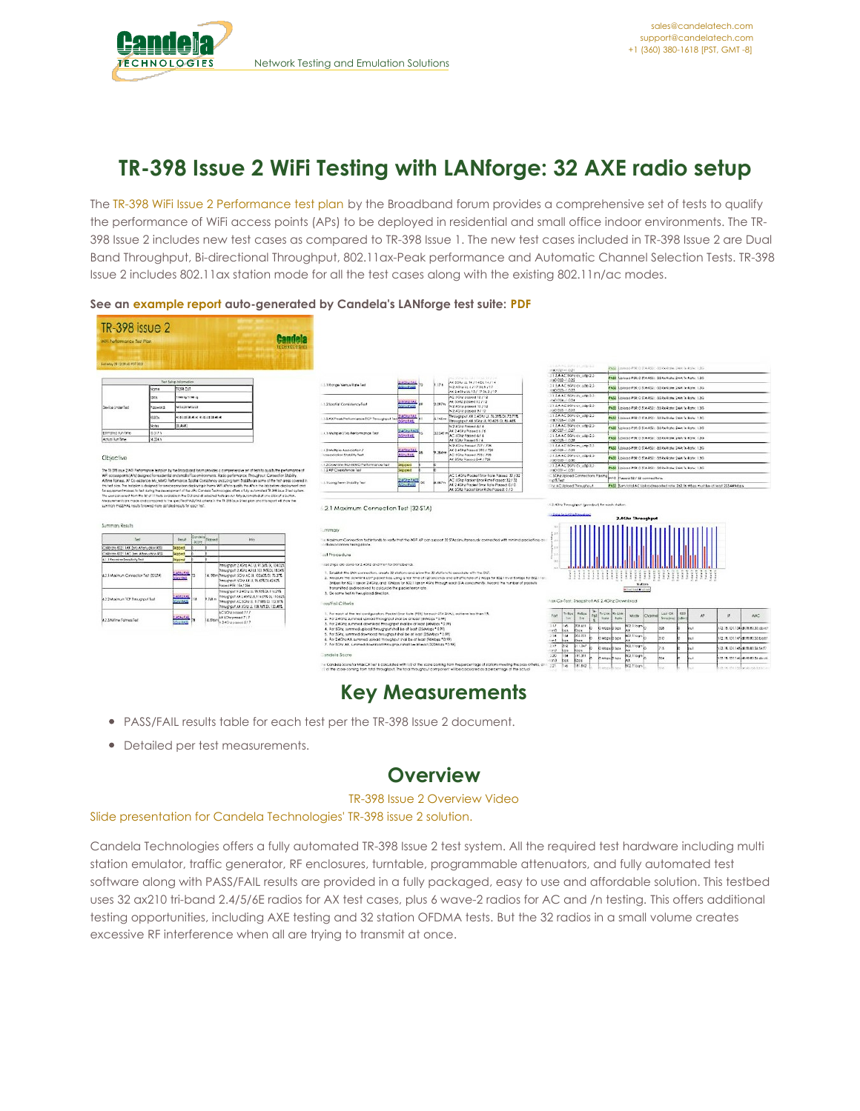

# **TR-398 Issue 2 WiFi Testing with LANforge: 32 AXE radio setup**

The TR-398 WiFi Issue 2 [Performance](https://www.broadband-forum.org/download/TR-398_Issue-2.pdf) test plan by the Broadband forum provides a comprehensive set of tests to qualify the performance of WiFi access points (APs) to be deployed in residential and small office indoor environments. The TR-398 Issue 2 includes new test cases as compared to TR-398 Issue 1. The new test cases included in TR-398 Issue 2 are Dual Band Throughput, Bi-directional Throughput, 802.11ax-Peak performance and Automatic Channel Selection Tests. TR-398 Issue 2 includes 802.11ax station mode for all the test cases along with the existing 802.11n/ac modes.

| <b>TR-398</b> issue 2<br>Will Performance Test Plan.                                                                     |                                                                                                                                                                                                                                                                                        |                               |                        |                                                                                                                                                                                                                                                                                                                                                                                                                          |                    |                                                                                                                                                              |                                       |                 |                                                                                                                                                                       |                                                                                  |                                                                                   |                             |                          |           |                                                                    |
|--------------------------------------------------------------------------------------------------------------------------|----------------------------------------------------------------------------------------------------------------------------------------------------------------------------------------------------------------------------------------------------------------------------------------|-------------------------------|------------------------|--------------------------------------------------------------------------------------------------------------------------------------------------------------------------------------------------------------------------------------------------------------------------------------------------------------------------------------------------------------------------------------------------------------------------|--------------------|--------------------------------------------------------------------------------------------------------------------------------------------------------------|---------------------------------------|-----------------|-----------------------------------------------------------------------------------------------------------------------------------------------------------------------|----------------------------------------------------------------------------------|-----------------------------------------------------------------------------------|-----------------------------|--------------------------|-----------|--------------------------------------------------------------------|
| Sof May 29 (2:29 AG PDF 2021)                                                                                            |                                                                                                                                                                                                                                                                                        |                               |                        |                                                                                                                                                                                                                                                                                                                                                                                                                          | <b>FEDENOIODIE</b> |                                                                                                                                                              |                                       |                 |                                                                                                                                                                       |                                                                                  |                                                                                   |                             |                          |           |                                                                    |
|                                                                                                                          |                                                                                                                                                                                                                                                                                        |                               |                        |                                                                                                                                                                                                                                                                                                                                                                                                                          |                    |                                                                                                                                                              |                                       |                 |                                                                                                                                                                       | LUAN DRIALMEN<br>$-0.00027 - 0.021$                                              | PASS Express PIX: 0 STA-453; -35 Neilights: 24M Gritishe; 1:3G                    |                             |                          |           |                                                                    |
|                                                                                                                          |                                                                                                                                                                                                                                                                                        |                               |                        |                                                                                                                                                                                                                                                                                                                                                                                                                          |                    |                                                                                                                                                              |                                       |                 | ALCOHOL: N. 2011 ROA/1411 (M.                                                                                                                                         | 115 A AC SChedy USb-2.2<br>1001020-1.0.22                                        | FASS Licition FDI: 0 STA 455: - 35 Kn Halls: 24M To Kato: 1.30                    |                             |                          |           |                                                                    |
|                                                                                                                          | Text Selvin Information<br>12224 017<br>smckf                                                                                                                                                                                                                                          |                               |                        |                                                                                                                                                                                                                                                                                                                                                                                                                          |                    | 1.1 Ronge Versus Right Tast                                                                                                                                  | <b>ASIN EAL</b><br><b>Courses</b>     | 12n             | AX SORE UL 14 / 14 DL 14 / 14<br>N2499UL67170L6717                                                                                                                    | 13 BA AC SOREOV USD 22                                                           | PASS 3.6/cod-PDI: 0.57A-032; -35 Re-Rate: 2AM Te-Rate: 1.3G.                      |                             |                          |           |                                                                    |
|                                                                                                                          |                                                                                                                                                                                                                                                                                        |                               |                        |                                                                                                                                                                                                                                                                                                                                                                                                                          |                    |                                                                                                                                                              |                                       |                 | AX 2 408 2 26 13 / 17 06 2 / 17<br>AC SON possed 12 / 12                                                                                                              | 1001023-1.0.23<br>21.5.A AC 50PE DLUSB-2.2                                       |                                                                                   |                             |                          |           |                                                                    |
|                                                                                                                          | 35.8                                                                                                                                                                                                                                                                                   | <b>WE'RE STREET</b>           |                        |                                                                                                                                                                                                                                                                                                                                                                                                                          |                    | 1.2 Soutigi Consistency Test                                                                                                                                 | ACA-EAS                               | 2.097 N         | AX 5Ghz passed 12 / 12                                                                                                                                                | 400004-1024                                                                      | PASS Explores PER O STA RSS: 35 Rx Rates CAM Ta Bate: 1.3G                        |                             |                          |           |                                                                    |
| Davida Under Test                                                                                                        | <b>Salvage</b>                                                                                                                                                                                                                                                                         | strata atasta                 |                        |                                                                                                                                                                                                                                                                                                                                                                                                                          |                    |                                                                                                                                                              | <b>Courses</b>                        |                 | N 2.4Gru passed 13 / 12<br>N 2.40Hz posed 9 / 12                                                                                                                      | 216AAC SON or usp-22-<br>1001095-1.0.25                                          | FAIS Librors FDR: 0.51A 453: -35 Rx Rafts: 24M Tx Rafts: 1.3G                     |                             |                          |           |                                                                    |
|                                                                                                                          | sssov                                                                                                                                                                                                                                                                                  | chiesis and or engineering on |                        |                                                                                                                                                                                                                                                                                                                                                                                                                          |                    | 3.5 AX Pede Performance TCP Persugnate Text                                                                                                                  | <b>SASSIFAR</b><br><b>Vincitat</b>    | $145 -$         | Proughput AX 2.40 fold, 76.20% Di. 73.71%<br>Throughput AX SOns Lt. TO.425 Dt. 55.445                                                                                 | 113 A AC SORE OF USP 2.2<br>ingli@6-1.0.24                                       | PASS Listens FDI: 0 STA RSS: -35 for Rale: 24M Scillate: 1.3G.                    |                             |                          |           |                                                                    |
|                                                                                                                          | Volus<br>35,4883                                                                                                                                                                                                                                                                       |                               |                        |                                                                                                                                                                                                                                                                                                                                                                                                                          |                    |                                                                                                                                                              | <b>ACRIPAL</b>                        |                 | N.2 4Ghz Passed 6./ 6                                                                                                                                                 | 21.5.A AC SOPEON MB-2.2<br>PO0027-1.0.27                                         | PASS Abicodi FER: 0 SIA 652: 36 Roilight: Saw Teilcho: 1.3G                       |                             |                          |           |                                                                    |
| Intervetted Run Tene                                                                                                     | 12.517%                                                                                                                                                                                                                                                                                |                               |                        |                                                                                                                                                                                                                                                                                                                                                                                                                          |                    | 4.1 Multiple \$1As Performance Test.                                                                                                                         | <b>Garlat</b>                         |                 | AX 2.4CFz Passed 6./ 6<br>12.542 mac stare Passed 67 6                                                                                                                | 115AAC 50rg or use \$2                                                           | FASS Linking PTR: 0.51A-955: -35 Rx-Right: 24M Tu-Right: 1.35-                    |                             |                          |           |                                                                    |
| Articl Rin Trie                                                                                                          | 14.334 h                                                                                                                                                                                                                                                                               |                               |                        |                                                                                                                                                                                                                                                                                                                                                                                                                          |                    |                                                                                                                                                              |                                       |                 | AX SGNo Pressed S.J.A.<br>N 2.40ru Pased 727 / 728                                                                                                                    | na0028-1.0.28<br>113.4 AC 50hr ev. udp 2.2                                       |                                                                                   |                             |                          |           |                                                                    |
|                                                                                                                          |                                                                                                                                                                                                                                                                                        |                               |                        |                                                                                                                                                                                                                                                                                                                                                                                                                          |                    | 4.2 Multiple Association /<br>Interocinties Statelity Seat                                                                                                   | <b>ACHIEAE</b><br><b>GREEAL</b>       | <b>MA IN</b>    | AX 2.4Chz Passed 593 / 726<br>AC SON: Passed 703 / 728                                                                                                                | 4:00099-1-0.29<br>213.4 AC 50Pa or 14tp-2.2-                                     | PASS Langua FER: 0 STA-RSS: -35 Ro-Rate: 24M To-Rate: 1.3G                        |                             |                          |           |                                                                    |
| Objective                                                                                                                |                                                                                                                                                                                                                                                                                        |                               |                        |                                                                                                                                                                                                                                                                                                                                                                                                                          |                    |                                                                                                                                                              |                                       |                 | AX SGRz Passed SA4 / 728                                                                                                                                              | 1001030-1.0.30                                                                   | PASS Libition FDI: 0 STA 453: - 05 Re Rate: 24M Scillate: 1.3G                    |                             |                          |           |                                                                    |
|                                                                                                                          |                                                                                                                                                                                                                                                                                        |                               |                        | The TV-SVS issue 2 WSI Performance feat plan by the Broadband forum provides a comprehensive set of fests to audity the performance of                                                                                                                                                                                                                                                                                   |                    | 4.3 Downloa MU-MIMO Performance Test<br>52 AP Coasistence fiest                                                                                              | <b>Support</b><br><b>Syrged</b>       |                 |                                                                                                                                                                       | 215AAC 50Nccs utp 22<br>ACCOUNT 0.33                                             | PASS Expired PDR, C STA-RSS: -35 Spellster, 24M, Sr Rate: 1.3G                    |                             |                          |           |                                                                    |
|                                                                                                                          |                                                                                                                                                                                                                                                                                        |                               |                        |                                                                                                                                                                                                                                                                                                                                                                                                                          |                    |                                                                                                                                                              |                                       |                 |                                                                                                                                                                       |                                                                                  |                                                                                   |                             |                          |           |                                                                    |
|                                                                                                                          | Altime Fairless, AP Co existence, Mu MMO Performance, Soalids Consistency and Long-term Stability are some of the fest areas covered in<br>this test plan. The feet plan is designed for service provident deploying in home WPLAPs to gually the APs in the lab before deployment and |                               |                        |                                                                                                                                                                                                                                                                                                                                                                                                                          |                    |                                                                                                                                                              |                                       |                 | AC 2.4Ghz Pocket finor Role Palaya: 32 / 32                                                                                                                           |                                                                                  |                                                                                   |                             |                          |           |                                                                    |
|                                                                                                                          |                                                                                                                                                                                                                                                                                        |                               |                        | WF accus ports (Afs) designed for residential and englishlige environments. Radio performance. Requellents, Connection Stability.                                                                                                                                                                                                                                                                                        |                    | 5.1 Long Sean Stobility Text                                                                                                                                 | <b>Alternative</b><br><b>CONTRACT</b> | <b>BLACK PA</b> | AC SCity Pracket Enter Bate Passed: 32 / 32<br>AT 2 40kg Packet Error Rote Possed, 0 / 0                                                                              | SCAV (gload Connections Paning auto Passed 12 / 12 connections.<br>of Sec        |                                                                                   |                             |                          |           |                                                                    |
|                                                                                                                          |                                                                                                                                                                                                                                                                                        |                               |                        | for equipment makes to test during the peveragment of the AFL Candela rechnologies offers a fully putomated TR 299 saue 2 holt system.<br>The user can select from the lat of 11 tests available in the OU and all selected tests are run fully automated at one olicin of a button.<br>Megazements are made and compared to the specified PASS/FAL collete in the 18 338 issue 2 had plan and this report will show the |                    |                                                                                                                                                              |                                       |                 | Ax stills hacket brot liahs hasket 0 / 0                                                                                                                              | In AC Upload Throughput                                                          | FASS Burn-total AC Upload reported rate: 242.56 Mbps must be of legal 253.44 Mbps |                             |                          |           |                                                                    |
| summon FASS/FAL results followed more detailed results for each test.<br>Summary Results                                 |                                                                                                                                                                                                                                                                                        |                               |                        |                                                                                                                                                                                                                                                                                                                                                                                                                          |                    | 5.2.1 Maximum Connection Test (32-STA)                                                                                                                       |                                       |                 |                                                                                                                                                                       | 12-40ng Trensgirger (geoderal) for each elation.<br>Cheng for a sting throughout | <b>2.4Ghz Throughput</b>                                                          |                             |                          |           |                                                                    |
| Next                                                                                                                     | 2mn                                                                                                                                                                                                                                                                                    |                               |                        | <b>Info</b>                                                                                                                                                                                                                                                                                                                                                                                                              |                    | ummary                                                                                                                                                       |                                       |                 |                                                                                                                                                                       |                                                                                  |                                                                                   |                             |                          |           |                                                                    |
|                                                                                                                          |                                                                                                                                                                                                                                                                                        | Some 1                        | Contains Dopma<br>- 11 |                                                                                                                                                                                                                                                                                                                                                                                                                          |                    | a disassociators taking place.                                                                                                                               |                                       |                 | is Madnum Connection for intends to verify that the WIF AF can support 32 STAs smulteneously connected with minimal packet loss on                                    |                                                                                  |                                                                                   |                             |                          |           |                                                                    |
|                                                                                                                          | Sizono il                                                                                                                                                                                                                                                                              | Seroed <b>b</b>               | - 11                   |                                                                                                                                                                                                                                                                                                                                                                                                                          |                    | ast Procedure                                                                                                                                                |                                       |                 |                                                                                                                                                                       |                                                                                  |                                                                                   |                             |                          |           |                                                                    |
|                                                                                                                          | Streed <b>I</b>                                                                                                                                                                                                                                                                        |                               |                        |                                                                                                                                                                                                                                                                                                                                                                                                                          |                    |                                                                                                                                                              |                                       |                 |                                                                                                                                                                       | 0.5                                                                              |                                                                                   |                             |                          |           |                                                                    |
| Collorate (ED) 11AX (etc. Aftertuation 855)<br>albrare 002.11AC (etc. Afterwation 853)<br>4.1.1 Receiver Sensity by Sert |                                                                                                                                                                                                                                                                                        |                               |                        | Proughput 2.45hz AC U, 97.36% D, 104.029<br>Throughput 2.60rd AX LL 1013-09.01 18:04%                                                                                                                                                                                                                                                                                                                                    |                    | less shops are done for 2.40kg and then for 30ng bands.                                                                                                      |                                       |                 |                                                                                                                                                                       |                                                                                  |                                                                                   |                             |                          |           |                                                                    |
|                                                                                                                          | LATHETAL<br>Kirio LAB                                                                                                                                                                                                                                                                  |                               |                        | A 198 milhoughpuit SCH2 AC LL 103 a05.01 75.375                                                                                                                                                                                                                                                                                                                                                                          |                    | 1. Establish the LAN connection, create 32 stations and glow the 32 stations to associate with the DUT.                                                      |                                       |                 | 2. Medaute the downlink LDP packet loss, using a fest time of 120 seconds and a traffic rate of 2 Moza for BD2.1 In or 8 Mbps for BD2.1 In-                           |                                                                                  |                                                                                   | ;; ; ; ; ; ; ; ; ;          |                          |           |                                                                    |
|                                                                                                                          |                                                                                                                                                                                                                                                                                        |                               |                        | Throughput 50Hz AX ULTS 625 CL 42425<br>Passed PER 15s / 25s                                                                                                                                                                                                                                                                                                                                                             |                    |                                                                                                                                                              |                                       |                 | Sylics for 802 1 (po on 2.4Give, and 10Week for 802.11 as an 4Give Minute appli SIA concurrently, Record the number of popular                                        |                                                                                  |                                                                                   | <b>Mathew</b>               |                          |           |                                                                    |
|                                                                                                                          |                                                                                                                                                                                                                                                                                        |                               |                        | Throughout N 2 40ng UL 98.935 Dr. 116.295                                                                                                                                                                                                                                                                                                                                                                                |                    | transmitted and received to calculate the packet entrirete.<br>3. Do some fest in the upload direction.                                                      |                                       |                 |                                                                                                                                                                       |                                                                                  | <b>Billiam Saul &amp; Volkland</b>                                                |                             |                          |           |                                                                    |
|                                                                                                                          | $273 + 183$<br><b>Count Co</b>                                                                                                                                                                                                                                                         |                               | $0.768 -$              | Throughput AX 2.4GAz UL 114 09% DL 150 62%<br>Throughput AC SCha UL 117 88% Di 122 87%<br>Throughout All SCho Lt. 135 Folt DL 150,485                                                                                                                                                                                                                                                                                    |                    | ass/Fail Criteria                                                                                                                                            |                                       |                 |                                                                                                                                                                       | has Cx-Test: Snapshot AX 2.4Ghz Download                                         |                                                                                   |                             |                          |           |                                                                    |
|                                                                                                                          |                                                                                                                                                                                                                                                                                        |                               |                        | AC SCP2 possed 777                                                                                                                                                                                                                                                                                                                                                                                                       |                    | 1. For each of the lest configuration. Packet (tror Role (PIR) for each STA SHAJ, achieve lea than 15.                                                       |                                       |                 |                                                                                                                                                                       | Retex<br>$1 - 8$ ce                                                              |                                                                                   | Lee CX                      | 9551                     | <b>SE</b> |                                                                    |
|                                                                                                                          | <b>PALES</b><br><b>COLOR</b>                                                                                                                                                                                                                                                           |                               | A.954 (                | All Silhroomed 7/7<br>N2409zogusz517                                                                                                                                                                                                                                                                                                                                                                                     |                    | 2. For 2.4Ghz, summed upload throughput shall be at loast (64Mbps * 0.99)                                                                                    |                                       |                 |                                                                                                                                                                       | Port<br>366<br>Im.                                                               | Fall faces Britis<br>Mode<br><b>itate</b><br><b>R</b> che                         | Chistel<br><b>Time</b> iral | $\overline{10}$<br>otes) |           | MAC.                                                               |
|                                                                                                                          |                                                                                                                                                                                                                                                                                        |                               |                        |                                                                                                                                                                                                                                                                                                                                                                                                                          |                    | 1. for 2.4Ghz, summed download finaughput shall be of least (64Vacs * 0.99).<br>4. For SCPs; summed upload throughput shall be at local (250Mags * 0.99)     |                                       |                 |                                                                                                                                                                       | 3.17<br><b>Jies</b><br>208,451<br><b>Canada</b><br>loss kees                     | 0231bg><br>D Mode D Das                                                           | 328                         |                          |           |                                                                    |
|                                                                                                                          |                                                                                                                                                                                                                                                                                        |                               |                        |                                                                                                                                                                                                                                                                                                                                                                                                                          |                    | 5. For SCPs, summed download throughput shall be at least CMANbox * 0.993                                                                                    |                                       |                 |                                                                                                                                                                       | 238 54 003.031                                                                   | 0211031<br><b>Division Dibee</b>                                                  | 310                         |                          |           | 172.18.101.134(d):19.83.35.00.vd<br>122 LA 100 342 MARCH 2010 Ford |
|                                                                                                                          |                                                                                                                                                                                                                                                                                        |                               |                        |                                                                                                                                                                                                                                                                                                                                                                                                                          |                    | 4. For 2 MShs AX, summed upload throughput shall be of least (REMbes 1999).<br>7. for 50nr AX, summed download throughput shall be at least (320Mbps * 0.99) |                                       |                 |                                                                                                                                                                       | ton!<br>her Roor<br>239 012<br>211.347                                           |                                                                                   |                             |                          |           |                                                                    |
|                                                                                                                          |                                                                                                                                                                                                                                                                                        |                               |                        |                                                                                                                                                                                                                                                                                                                                                                                                                          |                    |                                                                                                                                                              |                                       |                 |                                                                                                                                                                       | ing loss<br>Kees                                                                 | IC2.1 log1<br><b>DAILES</b><br>1 tans                                             | 215                         |                          |           |                                                                    |
| 4.2.1 Maximum Connection Test (33-214)<br>4.2.2 Maximum TCP Throughput Test<br>4.2.3 Alfime Falmes Seit                  |                                                                                                                                                                                                                                                                                        |                               |                        |                                                                                                                                                                                                                                                                                                                                                                                                                          |                    | andeia Score                                                                                                                                                 |                                       |                 | in Candels Score for Max CK lief is calculated with 1/2 of the score contrig from the percentage of stations meeting the poss offerial attribution (1) 221 242 181342 | 3.00 54<br><b>DESPE</b><br>. Enci-<br>ber.<br>Koos.                              | 02.11cgs<br><b>D.Mops</b><br><b>D</b> tips                                        | 358                         |                          |           | 72.8.101.14946968345472<br>172.18.101.146.00.00.36.00.00           |

#### **See an [example](http://www.candelatech.com/examples/TR-398-Issue2-report-2021-05-28-08-55-19.pdf) report auto-generated by Candela's LANforge test suite: [PDF](http://www.candelatech.com/examples/TR-398-Issue2-report-2021-05-28-08-55-19.pdf)**

# **Key Measurements**

- PASS/FAIL results table for each test per the TR-398 Issue 2 document.
- Detailed per test measurements.

### **Overview**

#### TR-398 Issue 2 [Overview](https://www.youtube.com/watch?v=3edmHlCIksY) Video

Slide presentation for Candela [Technologies'](http://www.candelatech.com/pdfs/tr398-issue-2-slides.pdf) TR-398 issue 2 solution.

Candela Technologies offers a fully automated TR-398 Issue 2 test system. All the required test hardware including multi station emulator, traffic generator, RF enclosures, turntable, programmable attenuators, and fully automated test software along with PASS/FAIL results are provided in a fully packaged, easy to use and affordable solution. This testbed uses 32 ax210 tri-band 2.4/5/6E radios for AX test cases, plus 6 wave-2 radios for AC and /n testing. This offers additional testing opportunities, including AXE testing and 32 station OFDMA tests. But the 32 radios in a small volume creates excessive RF interference when all are trying to transmit at once.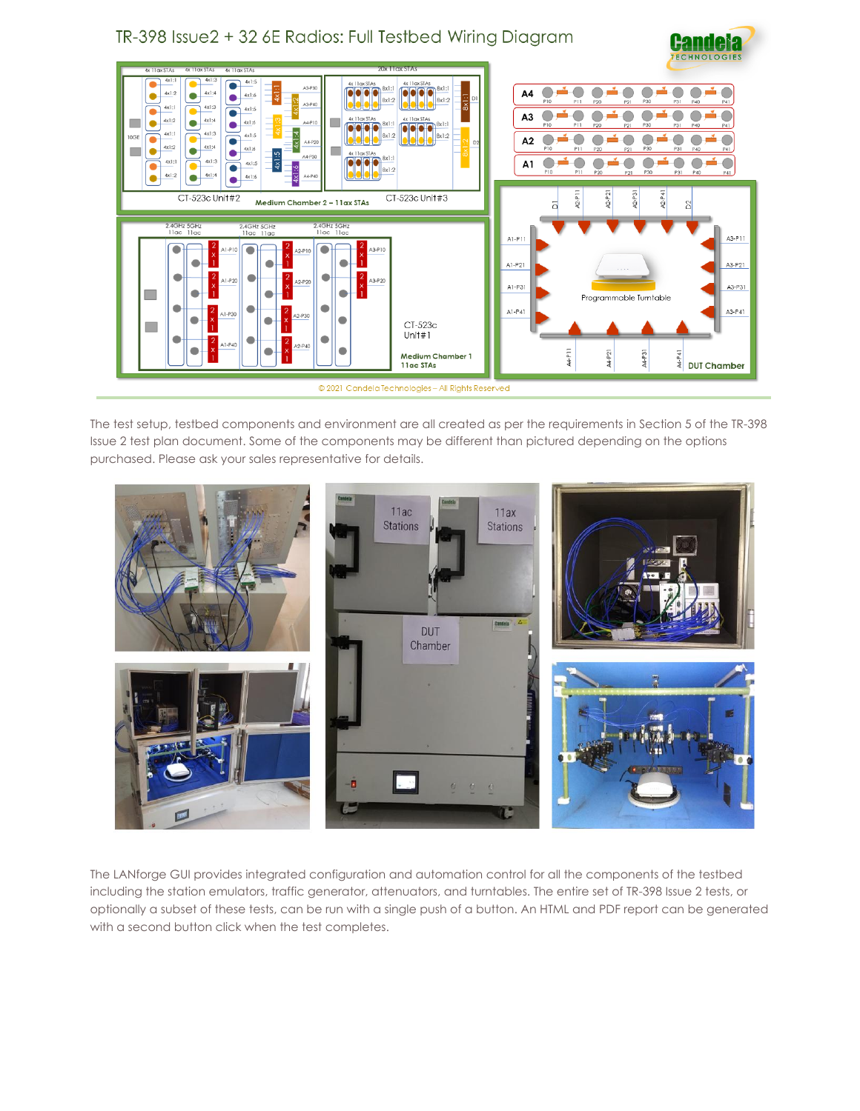### TR-398 Issue2 + 32 6E Radios: Full Testbed Wiring Diagram





The test setup, testbed components and environment are all created as per the requirements in Section 5 of the TR-398 Issue 2 test plan document. Some of the components may be different than pictured depending on the options purchased. Please ask your sales representative for details.



The LANforge GUI provides integrated configuration and automation control for all the components of the testbed including the station emulators, traffic generator, attenuators, and turntables. The entire set of TR-398 Issue 2 tests, or optionally a subset of these tests, can be run with a single push of a button. An HTML and PDF report can be generated with a second button click when the test completes.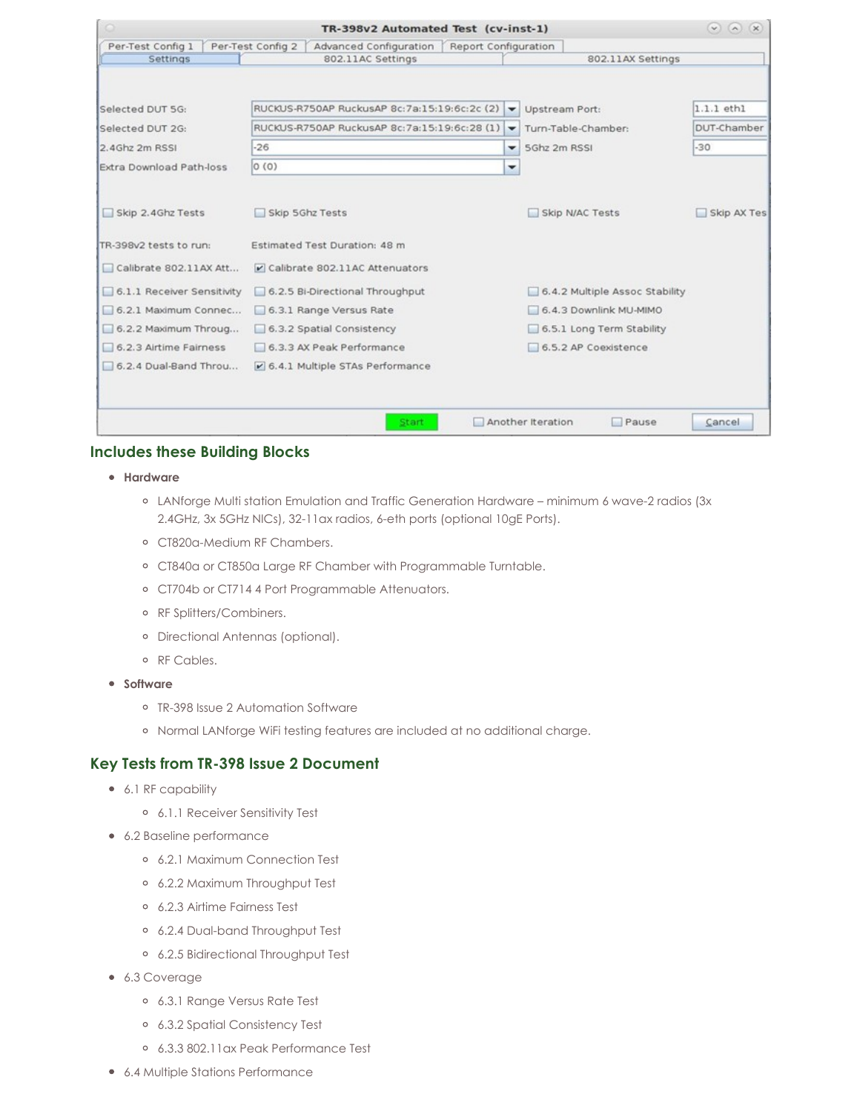|                               | TR-398v2 Automated Test (cv-inst-1)                                                      |                          |                                |                 |
|-------------------------------|------------------------------------------------------------------------------------------|--------------------------|--------------------------------|-----------------|
| Per-Test Config 1<br>Settings | Per-Test Config 2<br>Advanced Configuration<br>Report Configuration<br>802.11AC Settings |                          | 802.11AX Settings              |                 |
|                               |                                                                                          |                          |                                |                 |
| Selected DUT 5G:              | RUCKUS-R750AP RuckusAP 8c:7a:15:19:6c:2c (2)                                             | $\overline{\phantom{a}}$ | <b>Upstream Port:</b>          | $1.1.1$ eth $1$ |
| Selected DUT 2G:              | RUCKUS-R750AP RuckusAP 8c:7a:15:19:6c:28 (1)                                             | ۰                        | Turn-Table-Chamber:            | DUT-Chamber     |
| 2.4Ghz 2m RSSI                | $-26$                                                                                    | ۰                        | 5Ghz 2m RSSI                   | $-30$           |
| Extra Download Path-loss      | 0(0)                                                                                     | $\overline{\phantom{a}}$ |                                |                 |
| Skip 2.4Ghz Tests             | Skip 5Ghz Tests                                                                          |                          | Skip N/AC Tests                | Skip AX Tes     |
| TR-398v2 tests to run:        | Estimated Test Duration: 48 m                                                            |                          |                                |                 |
| Calibrate 802.11AX Att        | Calibrate 802.11AC Attenuators                                                           |                          |                                |                 |
| 6.1.1 Receiver Sensitivity    | 6.2.5 Bi-Directional Throughput                                                          |                          | 6.4.2 Multiple Assoc Stability |                 |
| 6.2.1 Maximum Connec          | 6.3.1 Range Versus Rate                                                                  |                          | 6.4.3 Downlink MU-MIMO         |                 |
| 6.2.2 Maximum Throug          | 6.3.2 Spatial Consistency                                                                |                          | 6.5.1 Long Term Stability      |                 |
| 6.2.3 Airtime Fairness        | 6.3.3 AX Peak Performance                                                                |                          | 6.5.2 AP Coexistence           |                 |
| 6.2.4 Dual-Band Throu         | 6.4.1 Multiple STAs Performance                                                          |                          |                                |                 |
|                               |                                                                                          |                          |                                |                 |

#### **Includes these Building Blocks**

- **Hardware**
	- LANforge Multi station Emulation and Traffic Generation Hardware minimum 6 wave-2 radios (3x 2.4GHz, 3x 5GHz NICs), 32-11ax radios, 6-eth ports (optional 10gE Ports).
	- CT820a-Medium RF Chambers.
	- CT840a or CT850a Large RF Chamber with Programmable Turntable.
	- CT704b or CT714 4 Port Programmable Attenuators.
	- o RF Splitters/Combiners.
	- Directional Antennas (optional).
	- RF Cables.
- **•** Software
	- TR-398 Issue 2 Automation Software
	- Normal LANforge WiFi testing features are included at no additional charge.

#### **Key Tests from TR-398 Issue 2 Document**

- 6.1 RF capability
	- 6.1.1 Receiver Sensitivity Test
- 6.2 Baseline performance
	- 6.2.1 Maximum Connection Test
	- 6.2.2 Maximum Throughput Test
	- 6.2.3 Airtime Fairness Test
	- 6.2.4 Dual-band Throughput Test
	- 6.2.5 Bidirectional Throughput Test
- 6.3 Coverage
	- 6.3.1 Range Versus Rate Test
	- 6.3.2 Spatial Consistency Test
	- 6.3.3 802.11ax Peak Performance Test
- 6.4 Multiple Stations Performance